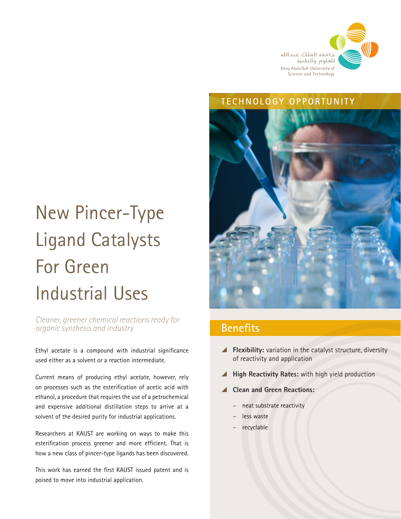

#### **TECHNOLOGY OPPORTUNITY**



# **Benefits**

- \ **Flexibility:** variation in the catalyst structure, diversity of reactivity and application
- \ **High Reactivity Rates:** with high yield production
- \ **Clean and Green Reactions:** 
	- **–** neat substrate reactivity
	- **–** less waste
	- **–** recyclable

# New Pincer-Type Ligand Catalysts For Green Industrial Uses

*Cleaner, greener chemical reactions ready for organic synthesis and industry* 

Ethyl acetate is a compound with industrial significance used either as a solvent or a reaction intermediate.

Current means of producing ethyl acetate, however, rely on processes such as the esterification of acetic acid with ethanol, a procedure that requires the use of a petrochemical and expensive additional distillation steps to arrive at a solvent of the desired purity for industrial applications.

Researchers at KAUST are working on ways to make this esterification process greener and more efficient. That is how a new class of pincer-type ligands has been discovered.

This work has earned the first KAUST issued patent and is poised to move into industrial application.